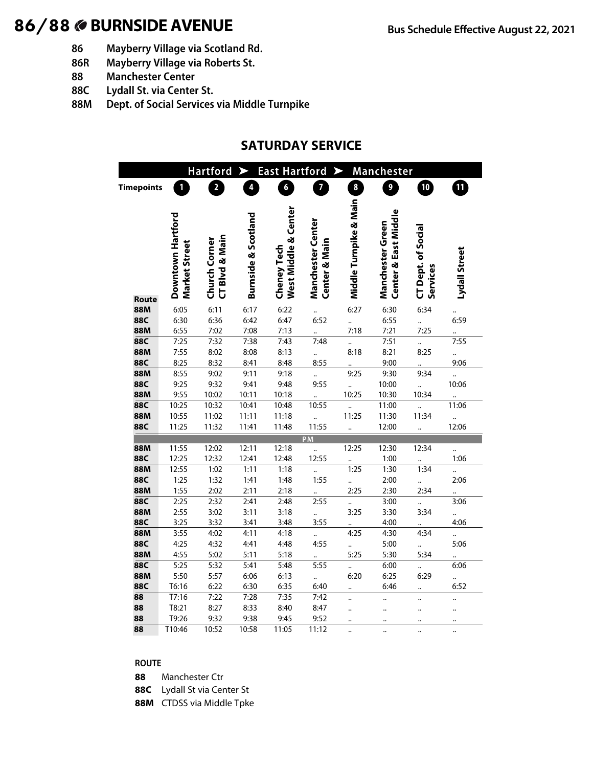# 86/88 **BURNSIDE AVENUE Bus Schedule Effective August 22, 2021**

- **86 Mayberry Village via Scotland Rd.**
- **86R Mayberry Village via Roberts St.**
- **88 Manchester Center**
- **88C Lydall St. via Center St.**
- **88M Dept. of Social Services via Middle Turnpike**

## **SATURDAY SERVICE**

|                                     |                                    | <b>Hartford</b>                 |                     | <b>East Hartford</b>                |                                                      | $\blacktriangleright$  | Manchester                               |                                       |                      |
|-------------------------------------|------------------------------------|---------------------------------|---------------------|-------------------------------------|------------------------------------------------------|------------------------|------------------------------------------|---------------------------------------|----------------------|
| <b>Timepoints</b>                   | 1                                  | $\overline{\mathbf{2}}$         | 4                   | $\boldsymbol{6}$                    | 7                                                    | 8                      | $\overline{\mathbf{9}}$                  | 10                                    | $\blacksquare$       |
|                                     |                                    |                                 |                     |                                     |                                                      |                        |                                          |                                       |                      |
| Route                               | Downtown Hartford<br>Market Street | CT Blvd & Main<br>Church Corner | Burnside & Scotland | West Middle & Center<br>Cheney Tech | <b>Manchester Center</b><br><b>Center &amp; Main</b> | Middle Turnpike & Main | Center & East Middle<br>Manchester Green | <b>CT Dept. of Social</b><br>Services | Lydall Street        |
| 88M                                 | 6:05                               | 6:11                            | 6:17                | 6:22                                |                                                      | 6:27                   | 6:30                                     | 6:34                                  |                      |
| <b>88C</b>                          | 6:30                               | 6:36                            | 6:42                | 6:47                                | 6:52                                                 |                        | 6:55                                     |                                       | 6:59                 |
| 88M                                 | 6:55                               | 7:02                            | 7:08                | 7:13                                |                                                      | 7:18                   | 7:21                                     | 7:25                                  |                      |
| <b>88C</b>                          | 7:25                               | 7:32                            | 7:38                | 7:43                                | 7:48                                                 | $\ddot{\phantom{a}}$   | 7:51                                     |                                       | 7:55                 |
| 88M                                 | 7:55                               | 8:02                            | 8:08                | 8:13                                |                                                      | 8:18                   | 8:21                                     | 8:25                                  | $\ddot{\cdot}$       |
| <b>88C</b>                          | 8:25                               | 8:32                            | 8:41                | 8:48                                | 8:55                                                 |                        | 9:00                                     |                                       | 9:06                 |
| 88M                                 | 8:55                               | 9:02                            | 9:11                | 9:18                                |                                                      | 9:25                   | 9:30                                     | 9:34                                  |                      |
| <b>88C</b>                          | 9:25                               | 9:32                            | 9:41                | 9:48                                | 9:55                                                 |                        | 10:00                                    |                                       | 10:06                |
| <b>88M</b>                          | 9:55                               | 10:02                           | 10:11               | 10:18                               |                                                      | 10:25                  | 10:30                                    | 10:34                                 |                      |
| <b>88C</b>                          | 10:25                              | 10:32                           | 10:41               | 10:48                               | 10:55                                                |                        | 11:00                                    |                                       | 11:06                |
| 88M                                 | 10:55                              | 11:02                           | 11:11               | 11:18                               |                                                      | 11:25                  | 11:30                                    | 11:34                                 |                      |
| <b>88C</b>                          | 11:25                              | 11:32                           | 11:41               | 11:48                               | 11:55                                                |                        | 12:00                                    |                                       | 12:06                |
|                                     |                                    |                                 |                     |                                     | PM                                                   |                        |                                          |                                       |                      |
| <b>88M</b>                          | 11:55                              | 12:02                           | 12:11               | 12:18                               |                                                      | 12:25                  | 12:30                                    | 12:34                                 |                      |
| <b>88C</b>                          | 12:25                              | 12:32                           | 12:41               | 12:48                               | 12:55                                                |                        | 1:00                                     |                                       | 1:06                 |
| 88M                                 | 12:55                              | 1:02                            | 1:11                | 1:18                                |                                                      | 1:25                   | 1:30                                     | 1:34                                  |                      |
| <b>88C</b>                          | 1:25                               | 1:32                            | 1:41                | 1:48                                | 1:55                                                 | $\ddot{\cdot}$         | 2:00                                     |                                       | 2:06                 |
| <b>88M</b>                          | 1:55                               | 2:02                            | 2:11                | 2:18                                |                                                      | 2:25                   | 2:30                                     | 2:34                                  |                      |
| <b>88C</b>                          | 2:25                               | 2:32                            | 2:41                | 2:48                                | 2:55                                                 |                        | 3:00                                     |                                       | 3:06                 |
| 88M                                 | 2:55                               | 3:02                            | 3:11                | 3:18                                |                                                      | 3:25                   | 3:30                                     | 3:34                                  |                      |
| <b>88C</b>                          | 3:25                               | 3:32                            | 3:41                | 3:48                                | 3:55                                                 |                        | 4:00                                     |                                       | 4:06                 |
| <b>88M</b>                          | 3:55                               | 4:02                            | 4:11                | 4:18                                |                                                      | 4:25                   | 4:30                                     | 4:34                                  |                      |
| <b>88C</b>                          | 4:25                               | 4:32                            | 4:41                | 4:48                                | 4:55                                                 | $\ddot{\cdot}$         | 5:00                                     |                                       | 5:06                 |
| <b>88M</b>                          | 4:55                               | 5:02                            | 5:11                | 5:18                                |                                                      | 5:25                   | 5:30                                     | 5:34                                  |                      |
| 88C                                 | 5:25                               | 5:32                            | 5:41                | 5:48                                | 5:55                                                 |                        | 6:00                                     |                                       | 6:06                 |
| 88M                                 | 5:50                               | 5:57                            | 6:06                | 6:13                                |                                                      | 6:20                   | 6:25                                     | 6:29                                  |                      |
| <b>88C</b>                          | T6:16                              | 6:22                            | 6:30                | 6:35                                | 6:40                                                 | $\ddotsc$              | 6:46                                     |                                       | 6:52                 |
| $\overline{\overline{\mathbf{88}}}$ | T7:16                              | 7:22                            | 7:28                | 7:35                                | 7:42                                                 |                        |                                          | $\ddot{\phantom{0}}$                  | $\ddot{\phantom{0}}$ |
| 88                                  | T8:21                              | 8:27                            | 8:33                | 8:40                                | 8:47                                                 |                        | $\ddot{\phantom{a}}$                     |                                       |                      |
| 88                                  | T9:26                              | 9:32                            | 9:38                | 9:45                                | 9:52                                                 |                        |                                          |                                       |                      |
| 88                                  | T10:46                             | 10:52                           | 10:58               | 11:05                               | 11:12                                                |                        |                                          |                                       |                      |

#### **ROUTE**

- **88** Manchester Ctr
- **88C** Lydall St via Center St
- **88M** CTDSS via Middle Tpke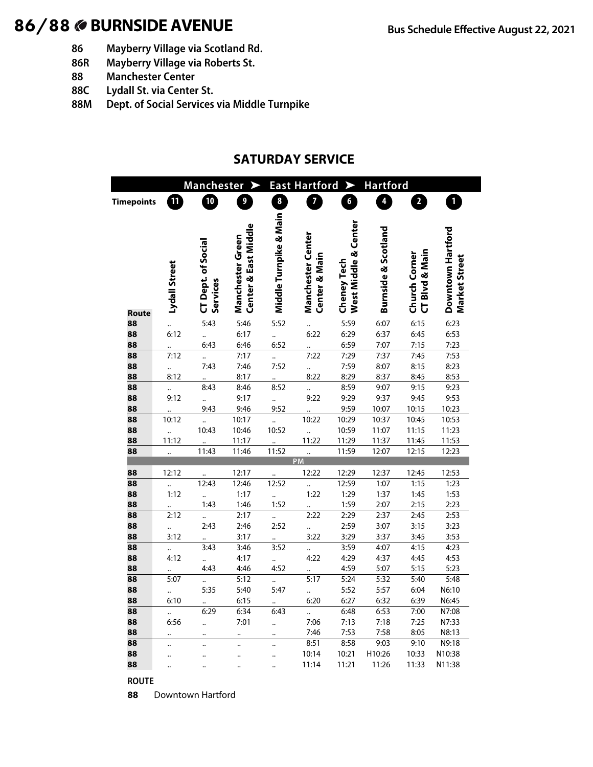# 86/88 **BURNSIDE AVENUE Bus Schedule Effective August 22, 2021**

- **86 Mayberry Village via Scotland Rd.**
- **86R Mayberry Village via Roberts St.**
- **88 Manchester Center**
- **88C Lydall St. via Center St.**
- **88M Dept. of Social Services via Middle Turnpike**

#### **SATURDAY SERVICE**

|                                |               | <b>Manchester</b>                     |                                          | <b>East Hartford</b><br><b>Hartford</b><br>➤ |                                           |                                     |                                |                                 |                                    |  |  |
|--------------------------------|---------------|---------------------------------------|------------------------------------------|----------------------------------------------|-------------------------------------------|-------------------------------------|--------------------------------|---------------------------------|------------------------------------|--|--|
| <b>Timepoints</b>              | $\mathbf{u}$  | 10                                    | 9                                        | $\boldsymbol{8}$                             | 7                                         | $\boldsymbol{6}$                    | 4                              | $\overline{\mathbf{c}}$         | $\mathbf{1}$                       |  |  |
|                                |               |                                       |                                          |                                              |                                           |                                     |                                |                                 |                                    |  |  |
|                                | Lydall Street | <b>CT Dept. of Social</b><br>Services | Center & East Middle<br>Manchester Green | Middle Tumpike & Main                        | <b>Manchester Center</b><br>Center & Main | West Middle & Center<br>Cheney Tech | <b>Burnside &amp; Scotland</b> | CT Blvd & Main<br>Church Corner | Downtown Hartford<br>Market Street |  |  |
| <b>Route</b>                   |               |                                       |                                          |                                              |                                           |                                     |                                |                                 |                                    |  |  |
| 88                             |               | 5:43                                  | 5:46                                     | 5:52                                         |                                           | 5:59                                | 6:07                           | 6:15                            | 6:23                               |  |  |
| 88                             | 6:12          |                                       | 6:17                                     |                                              | 6:22                                      | 6:29                                | 6:37                           | 6:45                            | 6:53                               |  |  |
| 88                             |               | 6:43                                  | 6:46                                     | 6:52                                         |                                           | 6:59                                | 7:07                           | 7:15                            | 7:23                               |  |  |
| 88                             | 7:12          |                                       | 7:17                                     |                                              | 7:22                                      | 7:29                                | 7:37                           | 7:45                            | 7:53                               |  |  |
| 88                             |               | 7:43                                  | 7:46                                     | 7:52                                         |                                           | 7:59                                | 8:07                           | 8:15                            | 8:23                               |  |  |
| 88                             | 8:12          |                                       | 8:17                                     |                                              | 8:22                                      | 8:29                                | 8:37                           | 8:45                            | 8:53                               |  |  |
| 88                             |               | 8:43                                  | 8:46                                     | 8:52                                         |                                           | 8:59                                | 9:07                           | 9:15                            | 9:23                               |  |  |
| 88                             | 9:12          |                                       | 9:17                                     |                                              | 9:22                                      | 9:29                                | 9:37                           | 9:45                            | 9:53                               |  |  |
| 88                             |               | 9:43                                  | 9:46                                     | 9:52                                         |                                           | 9:59                                | 10:07                          | 10:15                           | 10:23                              |  |  |
| 88                             | 10:12         | $\ddot{\phantom{a}}$                  | 10:17                                    |                                              | 10:22                                     | 10:29                               | 10:37                          | 10:45                           | 10:53                              |  |  |
| 88                             |               | 10:43                                 | 10:46                                    | 10:52                                        |                                           | 10:59                               | 11:07                          | 11:15                           | 11:23                              |  |  |
| 88                             | 11:12         |                                       | 11:17                                    |                                              | 11:22                                     | 11:29                               | 11:37                          | 11:45                           | 11:53                              |  |  |
| 88                             |               | 11:43                                 | 11:46                                    | 11:52                                        | $\ddot{\phantom{a}}$                      | 11:59                               | 12:07                          | 12:15                           | 12:23                              |  |  |
|                                |               |                                       |                                          |                                              | <b>PM</b>                                 |                                     |                                |                                 |                                    |  |  |
| 88                             | 12:12         |                                       | 12:17                                    |                                              | 12:22                                     | 12:29                               | 12:37                          | 12:45                           | 12:53                              |  |  |
| 88                             |               | 12:43                                 | 12:46                                    | 12:52                                        | $\ddot{\cdot}$                            | 12:59                               | 1:07                           | 1:15                            | 1:23                               |  |  |
| 88                             | 1:12          |                                       | 1:17                                     |                                              | 1:22                                      | 1:29                                | 1:37                           | 1:45                            | 1:53                               |  |  |
| 88                             |               | 1:43                                  | 1:46                                     | 1:52                                         |                                           | 1:59                                | 2:07                           | 2:15                            | 2:23                               |  |  |
| 88                             | 2:12          |                                       | 2:17                                     |                                              | 2:22                                      | 2:29                                | 2:37                           | 2:45                            | 2:53                               |  |  |
| 88                             |               | 2:43                                  | 2:46                                     | 2:52                                         |                                           | 2:59                                | 3:07                           | 3:15                            | 3:23                               |  |  |
| 88                             | 3:12          | $\ddot{\phantom{0}}$                  | 3:17                                     |                                              | 3:22                                      | 3:29                                | 3:37                           | 3:45                            | 3:53                               |  |  |
| 88                             |               | 3:43                                  | 3:46                                     | 3:52                                         | $\ddot{\cdot}$                            | 3:59                                | 4:07                           | 4:15                            | 4:23                               |  |  |
| 88                             | 4:12          |                                       | 4:17                                     |                                              | 4:22                                      | 4:29                                | 4:37                           | 4:45                            | 4:53                               |  |  |
| 88                             |               | 4:43                                  | 4:46                                     | 4:52                                         |                                           | 4:59                                | 5:07                           | 5:15                            | 5:23                               |  |  |
| 88                             | 5:07          | $\ddotsc$                             | 5:12                                     |                                              | 5:17                                      | 5:24                                | 5:32                           | 5:40                            | 5:48                               |  |  |
| 88                             |               | 5:35                                  | 5:40                                     | 5:47                                         | $\ddot{\cdot}$                            | 5:52                                | 5:57                           | 6:04                            | N6:10                              |  |  |
| 88                             | 6:10          |                                       | 6:15                                     |                                              | 6:20                                      | 6:27<br>6:48                        | 6:32<br>6:53                   | 6:39                            | N6:45                              |  |  |
| $\overline{88}$                |               | 6:29                                  | 6:34                                     | 6:43                                         |                                           | 7:13                                |                                | 7:00<br>7:25                    | N7:08                              |  |  |
| 88                             | 6:56          |                                       | 7:01                                     |                                              | 7:06                                      |                                     | 7:18                           |                                 | N7:33                              |  |  |
| 88<br>$\overline{\mathbf{88}}$ |               | $\ddot{\phantom{a}}$                  | $\ddot{\phantom{a}}$                     | $\ddotsc$                                    | 7:46<br>8:51                              | 7:53<br>8:58                        | 7:58<br>9:03                   | 8:05                            | N8:13<br>N9:18                     |  |  |
|                                |               |                                       |                                          |                                              |                                           |                                     |                                | 9:10                            |                                    |  |  |
| 88                             |               |                                       |                                          |                                              | 10:14                                     | 10:21                               | H10:26                         | 10:33                           | N10:38                             |  |  |
| 88                             |               |                                       |                                          |                                              | 11:14                                     | 11:21                               | 11:26                          | 11:33                           | N11:38                             |  |  |

**ROUTE**

Downtown Hartford